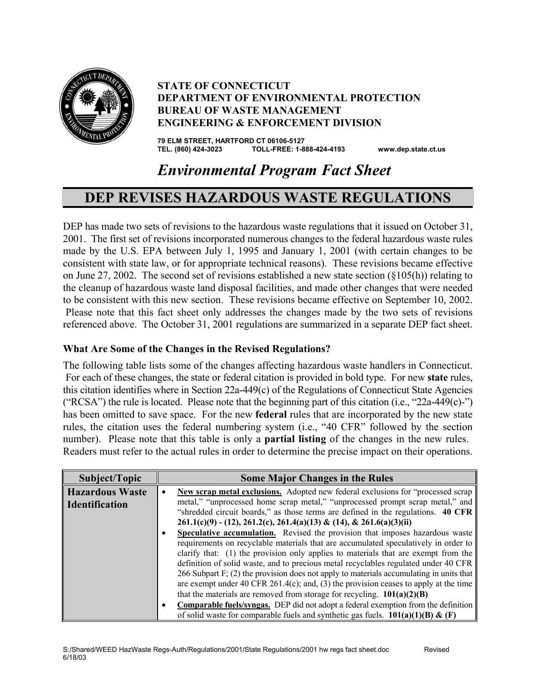

### **STATE OF CONNECTICUT DEPARTMENT OF ENVIRONMENTAL PROTECTION BUREAU OF WASTE MANAGEMENT ENGINEERING & ENFORCEMENT DIVISION**

**79 ELM STREET, HARTFORD CT 06106-5127 TEL. (860) 424-3023 TOLL-FREE: 1-888-424-4193 www.dep.state.ct.us**

# *Environmental Program Fact Sheet*

# **DEP REVISES HAZARDOUS WASTE REGULATIONS**

DEP has made two sets of revisions to the hazardous waste regulations that it issued on October 31, 2001. The first set of revisions incorporated numerous changes to the federal hazardous waste rules made by the U.S. EPA between July 1, 1995 and January 1, 2001 (with certain changes to be consistent with state law, or for appropriate technical reasons). These revisions became effective on June 27, 2002. The second set of revisions established a new state section  $(\xi 105(h))$  relating to the cleanup of hazardous waste land disposal facilities, and made other changes that were needed to be consistent with this new section. These revisions became effective on September 10, 2002. Please note that this fact sheet only addresses the changes made by the two sets of revisions referenced above. The October 31, 2001 regulations are summarized in a separate DEP fact sheet.

#### **What Are Some of the Changes in the Revised Regulations?**

The following table lists some of the changes affecting hazardous waste handlers in Connecticut. For each of these changes, the state or federal citation is provided in bold type. For new **state** rules, this citation identifies where in Section 22a-449(c) of the Regulations of Connecticut State Agencies ("RCSA") the rule is located. Please note that the beginning part of this citation (i.e., "22a-449(c)-") has been omitted to save space. For the new **federal** rules that are incorporated by the new state rules, the citation uses the federal numbering system (i.e., "40 CFR" followed by the section number). Please note that this table is only a **partial listing** of the changes in the new rules. Readers must refer to the actual rules in order to determine the precise impact on their operations.

| Subject/Topic          | <b>Some Major Changes in the Rules</b>                                                         |
|------------------------|------------------------------------------------------------------------------------------------|
| <b>Hazardous Waste</b> | New scrap metal exclusions. Adopted new federal exclusions for "processed scrap"               |
| <b>Identification</b>  | metal," "unprocessed home scrap metal," "unprocessed prompt scrap metal," and                  |
|                        | "shredded circuit boards," as those terms are defined in the regulations. 40 CFR               |
|                        | $261.1(c)(9) - (12), 261.2(c), 261.4(a)(13) & (14), & 261.6(a)(3)(ii)$                         |
|                        | Speculative accumulation. Revised the provision that imposes hazardous waste<br>٠              |
|                        | requirements on recyclable materials that are accumulated speculatively in order to            |
|                        | clarify that: (1) the provision only applies to materials that are exempt from the             |
|                        | definition of solid waste, and to precious metal recyclables regulated under 40 CFR            |
|                        | 266 Subpart F; (2) the provision does not apply to materials accumulating in units that        |
|                        | are exempt under 40 CFR 261.4(c); and, (3) the provision ceases to apply at the time           |
|                        | that the materials are removed from storage for recycling. $101(a)(2)(B)$                      |
|                        | <b>Comparable fuels/syngas.</b> DEP did not adopt a federal exemption from the definition<br>٠ |
|                        | of solid waste for comparable fuels and synthetic gas fuels. $101(a)(1)(B) \& (F)$             |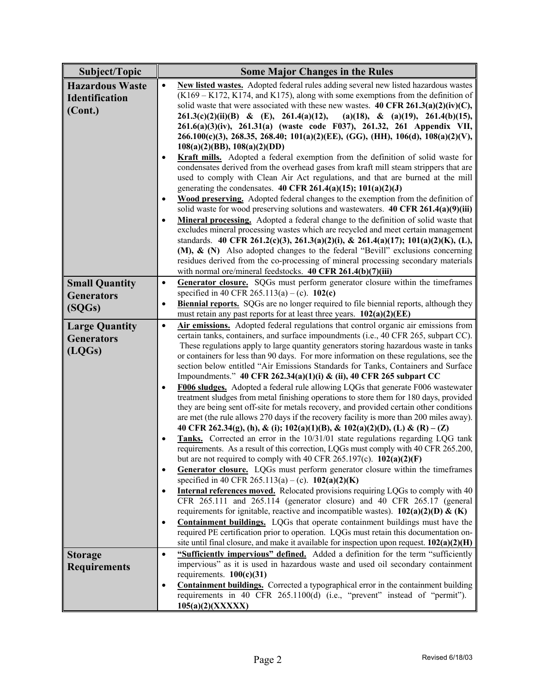| Subject/Topic          | <b>Some Major Changes in the Rules</b>                                                                                                                                     |
|------------------------|----------------------------------------------------------------------------------------------------------------------------------------------------------------------------|
| <b>Hazardous Waste</b> | New listed wastes. Adopted federal rules adding several new listed hazardous wastes<br>$\bullet$                                                                           |
| <b>Identification</b>  | $(K169 - K172, K174, and K175)$ , along with some exemptions from the definition of                                                                                        |
| (Cont.)                | solid waste that were associated with these new wastes. 40 CFR 261.3(a)(2)(iv)(C),                                                                                         |
|                        | $261.3(c)(2)(ii)(B)$ & (E), $261.4(a)(12)$ ,<br>(a)(18), & (a)(19), 261.4(b)(15),                                                                                          |
|                        | 261.6(a)(3)(iv), 261.31(a) (waste code F037), 261.32, 261 Appendix VII,                                                                                                    |
|                        | 266.100(c)(3), 268.35, 268.40; 101(a)(2)(EE), (GG), (HH), 106(d), 108(a)(2)(V),                                                                                            |
|                        | $108(a)(2)(BB)$ , $108(a)(2)(DD)$                                                                                                                                          |
|                        | Kraft mills. Adopted a federal exemption from the definition of solid waste for                                                                                            |
|                        | condensates derived from the overhead gases from kraft mill steam strippers that are                                                                                       |
|                        | used to comply with Clean Air Act regulations, and that are burned at the mill                                                                                             |
|                        | generating the condensates. 40 CFR 261.4(a)(15); $101(a)(2)(J)$                                                                                                            |
|                        | Wood preserving. Adopted federal changes to the exemption from the definition of<br>٠                                                                                      |
|                        | solid waste for wood preserving solutions and wastewaters. 40 CFR 261.4(a)(9)(iii)                                                                                         |
|                        | Mineral processing. Adopted a federal change to the definition of solid waste that<br>$\bullet$                                                                            |
|                        | excludes mineral processing wastes which are recycled and meet certain management                                                                                          |
|                        | standards. 40 CFR 261.2(c)(3), 261.3(a)(2)(i), & 261.4(a)(17); 101(a)(2)(K), (L),                                                                                          |
|                        | $(M)$ , $\&$ $(N)$ Also adopted changes to the federal "Bevill" exclusions concerning<br>residues derived from the co-processing of mineral processing secondary materials |
|                        | with normal ore/mineral feedstocks. 40 CFR 261.4(b)(7)(iii)                                                                                                                |
| <b>Small Quantity</b>  | Generator closure. SQGs must perform generator closure within the timeframes<br>$\bullet$                                                                                  |
|                        | specified in 40 CFR 265.113(a) – (c). 102(c)                                                                                                                               |
| <b>Generators</b>      | <b>Biennial reports.</b> SQGs are no longer required to file biennial reports, although they<br>$\bullet$                                                                  |
| (SQGs)                 | must retain any past reports for at least three years. 102(a)(2)(EE)                                                                                                       |
| <b>Large Quantity</b>  | Air emissions. Adopted federal regulations that control organic air emissions from<br>$\bullet$                                                                            |
| <b>Generators</b>      | certain tanks, containers, and surface impoundments (i.e., 40 CFR 265, subpart CC).                                                                                        |
|                        | These regulations apply to large quantity generators storing hazardous waste in tanks                                                                                      |
| (LQGs)                 | or containers for less than 90 days. For more information on these regulations, see the                                                                                    |
|                        | section below entitled "Air Emissions Standards for Tanks, Containers and Surface                                                                                          |
|                        | Impoundments." 40 CFR 262.34(a)(1)(i) & (ii), 40 CFR 265 subpart CC                                                                                                        |
|                        | F006 sludges. Adopted a federal rule allowing LQGs that generate F006 wastewater                                                                                           |
|                        | treatment sludges from metal finishing operations to store them for 180 days, provided                                                                                     |
|                        | they are being sent off-site for metals recovery, and provided certain other conditions                                                                                    |
|                        | are met (the rule allows 270 days if the recovery facility is more than 200 miles away).<br>40 CFR 262.34(g), (h), & (i); 102(a)(1)(B), & 102(a)(2)(D), (L) & (R) – (Z)    |
|                        | Tanks. Corrected an error in the 10/31/01 state regulations regarding LQG tank<br>٠                                                                                        |
|                        | requirements. As a result of this correction, LQGs must comply with 40 CFR 265.200,                                                                                        |
|                        | but are not required to comply with 40 CFR 265.197(c). $102(a)(2)(F)$                                                                                                      |
|                        | Generator closure. LQGs must perform generator closure within the timeframes<br>٠                                                                                          |
|                        | specified in 40 CFR 265.113(a) – (c). $102(a)(2)(K)$                                                                                                                       |
|                        | <b>Internal references moved.</b> Relocated provisions requiring LQGs to comply with 40<br>$\bullet$                                                                       |
|                        | CFR 265.111 and 265.114 (generator closure) and 40 CFR 265.17 (general                                                                                                     |
|                        | requirements for ignitable, reactive and incompatible wastes). $102(a)(2)(D) \& (K)$                                                                                       |
|                        | <b>Containment buildings.</b> LQGs that operate containment buildings must have the<br>٠                                                                                   |
|                        | required PE certification prior to operation. LQGs must retain this documentation on-                                                                                      |
|                        | site until final closure, and make it available for inspection upon request. $102(a)(2)(H)$                                                                                |
| <b>Storage</b>         | "Sufficiently impervious" defined. Added a definition for the term "sufficiently<br>$\bullet$                                                                              |
| <b>Requirements</b>    | impervious" as it is used in hazardous waste and used oil secondary containment                                                                                            |
|                        | requirements. $100(c)(31)$                                                                                                                                                 |
|                        | <b>Containment buildings.</b> Corrected a typographical error in the containment building<br>٠                                                                             |
|                        | requirements in 40 CFR 265.1100(d) (i.e., "prevent" instead of "permit").                                                                                                  |
|                        | 105(a)(2)(XXXX)                                                                                                                                                            |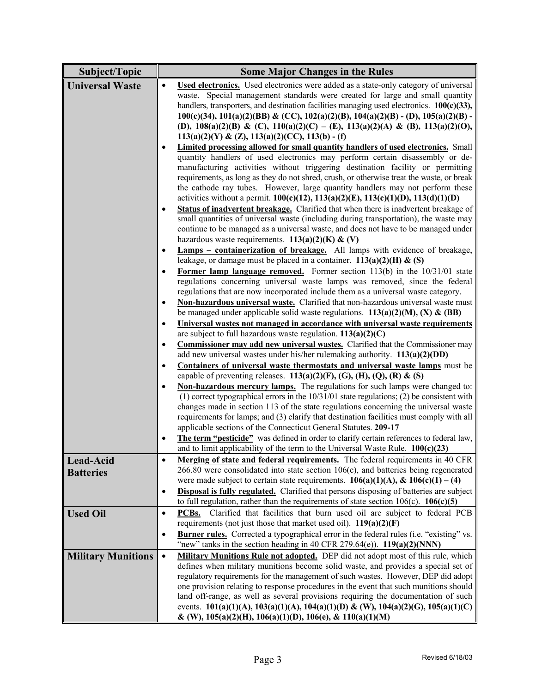| Subject/Topic             | <b>Some Major Changes in the Rules</b>                                                                                                                                          |
|---------------------------|---------------------------------------------------------------------------------------------------------------------------------------------------------------------------------|
| <b>Universal Waste</b>    | <b>Used electronics.</b> Used electronics were added as a state-only category of universal<br>$\bullet$                                                                         |
|                           | waste. Special management standards were created for large and small quantity                                                                                                   |
|                           | handlers, transporters, and destination facilities managing used electronics. $100(c)(33)$ ,                                                                                    |
|                           | $100(c)(34)$ , $101(a)(2)(BB)$ & (CC), $102(a)(2)(B)$ , $104(a)(2)(B)$ - (D), $105(a)(2)(B)$ -                                                                                  |
|                           | (D), $108(a)(2)(B) \& (C)$ , $110(a)(2)(C) - (E)$ , $113(a)(2)(A) \& (B)$ , $113(a)(2)(O)$ ,                                                                                    |
|                           | $113(a)(2)(Y)$ & $(Z)$ , $113(a)(2)(CC)$ , $113(b)$ - (f)                                                                                                                       |
|                           | Limited processing allowed for small quantity handlers of used electronics. Small                                                                                               |
|                           | quantity handlers of used electronics may perform certain disassembly or de-                                                                                                    |
|                           | manufacturing activities without triggering destination facility or permitting                                                                                                  |
|                           | requirements, as long as they do not shred, crush, or otherwise treat the waste, or break                                                                                       |
|                           | the cathode ray tubes. However, large quantity handlers may not perform these                                                                                                   |
|                           | activities without a permit. $100(c)(12)$ , $113(a)(2)(E)$ , $113(c)(1)(D)$ , $113(d)(1)(D)$                                                                                    |
|                           | Status of inadvertent breakage. Clarified that when there is inadvertent breakage of                                                                                            |
|                           | small quantities of universal waste (including during transportation), the waste may                                                                                            |
|                           | continue to be managed as a universal waste, and does not have to be managed under                                                                                              |
|                           | hazardous waste requirements. $113(a)(2)(K)$ & (V)                                                                                                                              |
|                           | <b>Lamps – containerization of breakage.</b> All lamps with evidence of breakage,<br>$\bullet$                                                                                  |
|                           | leakage, or damage must be placed in a container. $113(a)(2)(H)$ & (S)                                                                                                          |
|                           | Former lamp language removed. Former section $113(b)$ in the $10/31/01$ state<br>$\bullet$                                                                                      |
|                           | regulations concerning universal waste lamps was removed, since the federal                                                                                                     |
|                           | regulations that are now incorporated include them as a universal waste category.                                                                                               |
|                           | Non-hazardous universal waste. Clarified that non-hazardous universal waste must<br>$\bullet$                                                                                   |
|                           | be managed under applicable solid waste regulations. $113(a)(2)(M)$ , (X) & (BB)                                                                                                |
|                           | Universal wastes not managed in accordance with universal waste requirements<br>$\bullet$                                                                                       |
|                           | are subject to full hazardous waste regulation. $113(a)(2)(C)$                                                                                                                  |
|                           | Commissioner may add new universal wastes. Clarified that the Commissioner may<br>$\bullet$                                                                                     |
|                           | add new universal wastes under his/her rulemaking authority. $113(a)(2)(DD)$                                                                                                    |
|                           | Containers of universal waste thermostats and universal waste lamps must be<br>$\bullet$                                                                                        |
|                           | capable of preventing releases. $113(a)(2)(F)$ , (G), (H), (Q), (R) & (S)                                                                                                       |
|                           | Non-hazardous mercury lamps. The regulations for such lamps were changed to:<br>$\bullet$                                                                                       |
|                           | $(1)$ correct typographical errors in the $10/31/01$ state regulations; $(2)$ be consistent with                                                                                |
|                           | changes made in section 113 of the state regulations concerning the universal waste<br>requirements for lamps; and (3) clarify that destination facilities must comply with all |
|                           | applicable sections of the Connecticut General Statutes. 209-17                                                                                                                 |
|                           | The term "pesticide" was defined in order to clarify certain references to federal law,                                                                                         |
|                           | and to limit applicability of the term to the Universal Waste Rule. $100(c)(23)$                                                                                                |
|                           | Merging of state and federal requirements. The federal requirements in 40 CFR                                                                                                   |
| Lead-Acid                 | $\bullet$<br>$266.80$ were consolidated into state section $106(c)$ , and batteries being regenerated                                                                           |
| <b>Batteries</b>          | were made subject to certain state requirements. $106(a)(1)(A)$ , & $106(c)(1) - (4)$                                                                                           |
|                           | <b>Disposal is fully regulated.</b> Clarified that persons disposing of batteries are subject<br>$\bullet$                                                                      |
|                           | to full regulation, rather than the requirements of state section $106(c)$ . <b>106(c)(5)</b>                                                                                   |
| <b>Used Oil</b>           | PCBs. Clarified that facilities that burn used oil are subject to federal PCB<br>$\bullet$                                                                                      |
|                           | requirements (not just those that market used oil). $119(a)(2)(F)$                                                                                                              |
|                           | <b>Burner rules.</b> Corrected a typographical error in the federal rules (i.e. "existing" vs.<br>$\bullet$                                                                     |
|                           | "new" tanks in the section heading in 40 CFR 279.64(e)). $119(a)(2)(NNN)$                                                                                                       |
|                           | Military Munitions Rule not adopted. DEP did not adopt most of this rule, which<br>$\bullet$                                                                                    |
| <b>Military Munitions</b> | defines when military munitions become solid waste, and provides a special set of                                                                                               |
|                           | regulatory requirements for the management of such wastes. However, DEP did adopt                                                                                               |
|                           | one provision relating to response procedures in the event that such munitions should                                                                                           |
|                           | land off-range, as well as several provisions requiring the documentation of such                                                                                               |
|                           | events. 101(a)(1)(A), 103(a)(1)(A), 104(a)(1)(D) & (W), 104(a)(2)(G), 105(a)(1)(C)                                                                                              |
|                           | & (W), 105(a)(2)(H), 106(a)(1)(D), 106(e), & 110(a)(1)(M)                                                                                                                       |
|                           |                                                                                                                                                                                 |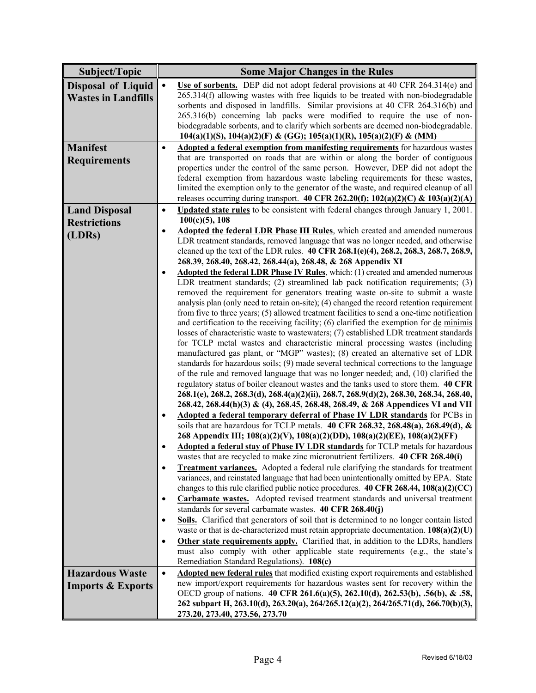| Subject/Topic                | <b>Some Major Changes in the Rules</b>                                                                                                                                                           |
|------------------------------|--------------------------------------------------------------------------------------------------------------------------------------------------------------------------------------------------|
|                              | Use of sorbents. DEP did not adopt federal provisions at 40 CFR 264.314(e) and<br>$\bullet$                                                                                                      |
| <b>Disposal of Liquid</b>    | 265.314(f) allowing wastes with free liquids to be treated with non-biodegradable                                                                                                                |
| <b>Wastes in Landfills</b>   | sorbents and disposed in landfills. Similar provisions at 40 CFR 264.316(b) and                                                                                                                  |
|                              | 265.316(b) concerning lab packs were modified to require the use of non-                                                                                                                         |
|                              | biodegradable sorbents, and to clarify which sorbents are deemed non-biodegradable.                                                                                                              |
|                              | 104(a)(1)(S), 104(a)(2)(F) & (GG); 105(a)(1)(R), 105(a)(2)(F) & (MM)                                                                                                                             |
| <b>Manifest</b>              | Adopted a federal exemption from manifesting requirements for hazardous wastes<br>$\bullet$                                                                                                      |
| <b>Requirements</b>          | that are transported on roads that are within or along the border of contiguous                                                                                                                  |
|                              | properties under the control of the same person. However, DEP did not adopt the<br>federal exemption from hazardous waste labeling requirements for these wastes,                                |
|                              | limited the exemption only to the generator of the waste, and required cleanup of all                                                                                                            |
|                              | releases occurring during transport. 40 CFR 262.20(f); $102(a)(2)(C)$ & $103(a)(2)(A)$                                                                                                           |
| <b>Land Disposal</b>         | Updated state rules to be consistent with federal changes through January 1, 2001.<br>$\bullet$                                                                                                  |
| <b>Restrictions</b>          | $100(c)(5)$ , 108                                                                                                                                                                                |
| (LDRs)                       | <b>Adopted the federal LDR Phase III Rules</b> , which created and amended numerous<br>$\bullet$                                                                                                 |
|                              | LDR treatment standards, removed language that was no longer needed, and otherwise                                                                                                               |
|                              | cleaned up the text of the LDR rules. 40 CFR 268.1(e)(4), 268.2, 268.3, 268.7, 268.9,                                                                                                            |
|                              | 268.39, 268.40, 268.42, 268.44(a), 268.48, & 268 Appendix XI                                                                                                                                     |
|                              | Adopted the federal LDR Phase IV Rules, which: (1) created and amended numerous<br>$\bullet$<br>LDR treatment standards; (2) streamlined lab pack notification requirements; (3)                 |
|                              | removed the requirement for generators treating waste on-site to submit a waste                                                                                                                  |
|                              | analysis plan (only need to retain on-site); (4) changed the record retention requirement                                                                                                        |
|                              | from five to three years; (5) allowed treatment facilities to send a one-time notification                                                                                                       |
|                              | and certification to the receiving facility; $(6)$ clarified the exemption for $de$ minimis                                                                                                      |
|                              | losses of characteristic waste to wastewaters; (7) established LDR treatment standards                                                                                                           |
|                              | for TCLP metal wastes and characteristic mineral processing wastes (including                                                                                                                    |
|                              | manufactured gas plant, or "MGP" wastes); (8) created an alternative set of LDR                                                                                                                  |
|                              | standards for hazardous soils; (9) made several technical corrections to the language<br>of the rule and removed language that was no longer needed; and, (10) clarified the                     |
|                              | regulatory status of boiler cleanout wastes and the tanks used to store them. 40 CFR                                                                                                             |
|                              | 268.1(e), 268.2, 268.3(d), 268.4(a)(2)(ii), 268.7, 268.9(d)(2), 268.30, 268.34, 268.40,                                                                                                          |
|                              | 268.42, 268.44(h)(3) & (4), 268.45, 268.48, 268.49, & 268 Appendices VI and VII                                                                                                                  |
|                              | Adopted a federal temporary deferral of Phase IV LDR standards for PCBs in<br>$\bullet$                                                                                                          |
|                              | soils that are hazardous for TCLP metals. 40 CFR 268.32, 268.48(a), 268.49(d), $\&$                                                                                                              |
|                              | 268 Appendix III; 108(a)(2)(V), 108(a)(2)(DD), 108(a)(2)(EE), 108(a)(2)(FF)                                                                                                                      |
|                              | Adopted a federal stay of Phase IV LDR standards for TCLP metals for hazardous                                                                                                                   |
|                              | wastes that are recycled to make zinc micronutrient fertilizers. 40 CFR 268.40(i)                                                                                                                |
|                              | <b>Treatment variances.</b> Adopted a federal rule clarifying the standards for treatment<br>$\bullet$<br>variances, and reinstated language that had been unintentionally omitted by EPA. State |
|                              | changes to this rule clarified public notice procedures. $40 \text{ CFR } 268.44$ , $108(a)(2)(CC)$                                                                                              |
|                              | Carbamate wastes. Adopted revised treatment standards and universal treatment<br>٠                                                                                                               |
|                              | standards for several carbamate wastes. 40 CFR 268.40(j)                                                                                                                                         |
|                              | Soils. Clarified that generators of soil that is determined to no longer contain listed<br>٠                                                                                                     |
|                              | waste or that is de-characterized must retain appropriate documentation. $108(a)(2)(U)$                                                                                                          |
|                              | Other state requirements apply. Clarified that, in addition to the LDRs, handlers<br>٠                                                                                                           |
|                              | must also comply with other applicable state requirements (e.g., the state's                                                                                                                     |
|                              | Remediation Standard Regulations). 108(c)                                                                                                                                                        |
| <b>Hazardous Waste</b>       | <b>Adopted new federal rules</b> that modified existing export requirements and established<br>$\bullet$                                                                                         |
| <b>Imports &amp; Exports</b> | new import/export requirements for hazardous wastes sent for recovery within the<br>OECD group of nations. 40 CFR 261.6(a)(5), 262.10(d), 262.53(b), .56(b), & .58,                              |
|                              | 262 subpart H, 263.10(d), 263.20(a), 264/265.12(a)(2), 264/265.71(d), 266.70(b)(3),                                                                                                              |
|                              | 273.20, 273.40, 273.56, 273.70                                                                                                                                                                   |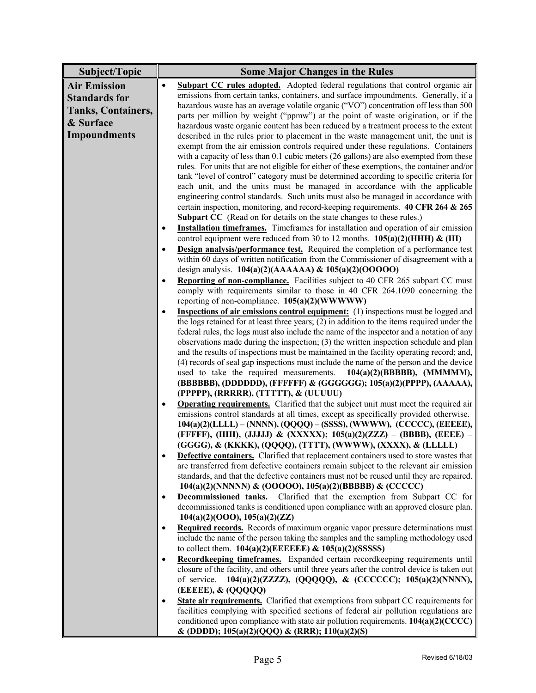| Subject/Topic             | <b>Some Major Changes in the Rules</b>                                                                                                                                                   |
|---------------------------|------------------------------------------------------------------------------------------------------------------------------------------------------------------------------------------|
| <b>Air Emission</b>       | Subpart CC rules adopted. Adopted federal regulations that control organic air<br>$\bullet$                                                                                              |
| <b>Standards for</b>      | emissions from certain tanks, containers, and surface impoundments. Generally, if a                                                                                                      |
| <b>Tanks, Containers,</b> | hazardous waste has an average volatile organic ("VO") concentration off less than 500                                                                                                   |
| & Surface                 | parts per million by weight ("ppmw") at the point of waste origination, or if the                                                                                                        |
|                           | hazardous waste organic content has been reduced by a treatment process to the extent                                                                                                    |
| <b>Impoundments</b>       | described in the rules prior to placement in the waste management unit, the unit is                                                                                                      |
|                           | exempt from the air emission controls required under these regulations. Containers                                                                                                       |
|                           | with a capacity of less than 0.1 cubic meters (26 gallons) are also exempted from these<br>rules. For units that are not eligible for either of these exemptions, the container and/or   |
|                           | tank "level of control" category must be determined according to specific criteria for                                                                                                   |
|                           | each unit, and the units must be managed in accordance with the applicable                                                                                                               |
|                           | engineering control standards. Such units must also be managed in accordance with                                                                                                        |
|                           | certain inspection, monitoring, and record-keeping requirements. 40 CFR 264 & 265                                                                                                        |
|                           | <b>Subpart CC</b> (Read on for details on the state changes to these rules.)                                                                                                             |
|                           | <b>Installation timeframes.</b> Timeframes for installation and operation of air emission<br>$\bullet$                                                                                   |
|                           | control equipment were reduced from 30 to 12 months. $105(a)(2)$ (HHH) & (III)                                                                                                           |
|                           | Design analysis/performance test. Required the completion of a performance test<br>$\bullet$                                                                                             |
|                           | within 60 days of written notification from the Commissioner of disagreement with a                                                                                                      |
|                           | design analysis. $104(a)(2)(AAAAA)$ & $105(a)(2)(00000)$                                                                                                                                 |
|                           | Reporting of non-compliance. Facilities subject to 40 CFR 265 subpart CC must<br>$\bullet$                                                                                               |
|                           | comply with requirements similar to those in 40 CFR 264.1090 concerning the                                                                                                              |
|                           | reporting of non-compliance. $105(a)(2)(WWWW)$                                                                                                                                           |
|                           | <b>Inspections of air emissions control equipment:</b> (1) inspections must be logged and<br>$\bullet$                                                                                   |
|                           | the logs retained for at least three years; (2) in addition to the items required under the<br>federal rules, the logs must also include the name of the inspector and a notation of any |
|                           | observations made during the inspection; $(3)$ the written inspection schedule and plan                                                                                                  |
|                           | and the results of inspections must be maintained in the facility operating record; and,                                                                                                 |
|                           | (4) records of seal gap inspections must include the name of the person and the device                                                                                                   |
|                           | used to take the required measurements. $104(a)(2)(BBBBB)$ , (MMMMM),                                                                                                                    |
|                           | (BBBBBB), (DDDDDD), (FFFFFF) & (GGGGGG); 105(a)(2)(PPPP), (AAAAA),                                                                                                                       |
|                           | (PPPPP), (RRRRR), (TTTTT), & (UUUUU)                                                                                                                                                     |
|                           | <b>Operating requirements.</b> Clarified that the subject unit must meet the required air<br>٠                                                                                           |
|                           | emissions control standards at all times, except as specifically provided otherwise.                                                                                                     |
|                           | 104(a)(2)(LLLL) - (NNNN), (QQQQ) - (SSSS), (WWWW), (CCCCC), (EEEEE),                                                                                                                     |
|                           | (FFFFF), (IIIII), (JJJJJ) & (XXXXX); 105(a)(2)(ZZZ) – (BBBB), (EEEE) –<br>(GGGG), & (KKKK), (QQQQ), (TTTT), (WWWW), (XXXX), & (LLLLL)                                                    |
|                           | <b>Defective containers.</b> Clarified that replacement containers used to store wastes that                                                                                             |
|                           | are transferred from defective containers remain subject to the relevant air emission                                                                                                    |
|                           | standards, and that the defective containers must not be reused until they are repaired.                                                                                                 |
|                           | 104(a)(2)(NNNNN) & (OOOOO), 105(a)(2)(BBBBB) & (CCCCC)                                                                                                                                   |
|                           | <b>Decommissioned tanks.</b> Clarified that the exemption from Subpart CC for<br>$\bullet$                                                                                               |
|                           | decommissioned tanks is conditioned upon compliance with an approved closure plan.                                                                                                       |
|                           | 104(a)(2)(OOO), 105(a)(2)(ZZ)                                                                                                                                                            |
|                           | Required records. Records of maximum organic vapor pressure determinations must<br>$\bullet$                                                                                             |
|                           | include the name of the person taking the samples and the sampling methodology used                                                                                                      |
|                           | to collect them. $104(a)(2)$ (EEEEEE) & $105(a)(2)$ (SSSSS)                                                                                                                              |
|                           | Recordkeeping timeframes. Expanded certain recordkeeping requirements until<br>$\bullet$                                                                                                 |
|                           | closure of the facility, and others until three years after the control device is taken out<br>104(a)(2)(ZZZZ), (QQQQQ), & (CCCCCC); 105(a)(2)(NNNN),<br>of service.                     |
|                           | (EEEEE), & (QQQQQ)                                                                                                                                                                       |
|                           | <b>State air requirements.</b> Clarified that exemptions from subpart CC requirements for<br>٠                                                                                           |
|                           | facilities complying with specified sections of federal air pollution regulations are                                                                                                    |
|                           | conditioned upon compliance with state air pollution requirements. 104(a)(2)(CCCC)                                                                                                       |
|                           | & (DDDD); 105(a)(2)(QQQ) & (RRR); 110(a)(2)(S)                                                                                                                                           |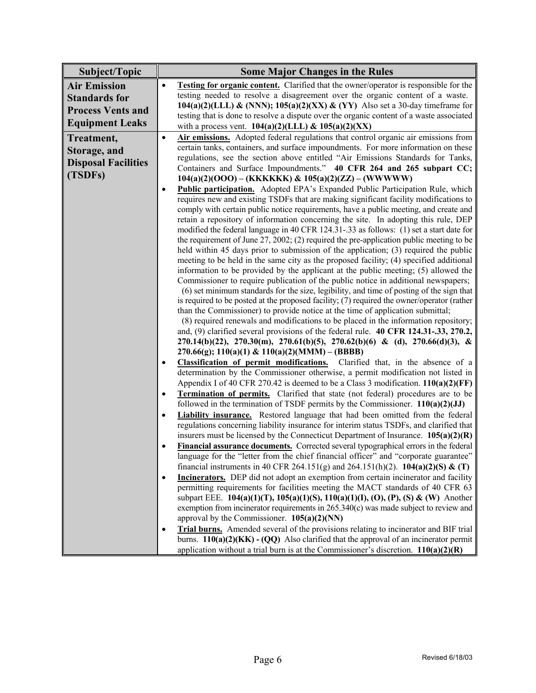| Subject/Topic              | <b>Some Major Changes in the Rules</b>                                                                                                                                                                                                                                                                                                                                                                                                                                                                                                                                                                                                                                                                                                                                                                                                                                                                                                                                                                                                                                                                                                                                                                                                                                                                                                                                                          |
|----------------------------|-------------------------------------------------------------------------------------------------------------------------------------------------------------------------------------------------------------------------------------------------------------------------------------------------------------------------------------------------------------------------------------------------------------------------------------------------------------------------------------------------------------------------------------------------------------------------------------------------------------------------------------------------------------------------------------------------------------------------------------------------------------------------------------------------------------------------------------------------------------------------------------------------------------------------------------------------------------------------------------------------------------------------------------------------------------------------------------------------------------------------------------------------------------------------------------------------------------------------------------------------------------------------------------------------------------------------------------------------------------------------------------------------|
| <b>Air Emission</b>        | <b>Testing for organic content.</b> Clarified that the owner/operator is responsible for the<br>$\bullet$                                                                                                                                                                                                                                                                                                                                                                                                                                                                                                                                                                                                                                                                                                                                                                                                                                                                                                                                                                                                                                                                                                                                                                                                                                                                                       |
| <b>Standards for</b>       | testing needed to resolve a disagreement over the organic content of a waste.                                                                                                                                                                                                                                                                                                                                                                                                                                                                                                                                                                                                                                                                                                                                                                                                                                                                                                                                                                                                                                                                                                                                                                                                                                                                                                                   |
| <b>Process Vents and</b>   | 104(a)(2)(LLL) & (NNN); 105(a)(2)(XX) & (YY) Also set a 30-day timeframe for                                                                                                                                                                                                                                                                                                                                                                                                                                                                                                                                                                                                                                                                                                                                                                                                                                                                                                                                                                                                                                                                                                                                                                                                                                                                                                                    |
| <b>Equipment Leaks</b>     | testing that is done to resolve a dispute over the organic content of a waste associated                                                                                                                                                                                                                                                                                                                                                                                                                                                                                                                                                                                                                                                                                                                                                                                                                                                                                                                                                                                                                                                                                                                                                                                                                                                                                                        |
|                            | with a process vent. $104(a)(2)(LLL)$ & $105(a)(2)(XX)$                                                                                                                                                                                                                                                                                                                                                                                                                                                                                                                                                                                                                                                                                                                                                                                                                                                                                                                                                                                                                                                                                                                                                                                                                                                                                                                                         |
| Treatment,                 | Air emissions. Adopted federal regulations that control organic air emissions from<br>$\bullet$                                                                                                                                                                                                                                                                                                                                                                                                                                                                                                                                                                                                                                                                                                                                                                                                                                                                                                                                                                                                                                                                                                                                                                                                                                                                                                 |
| Storage, and               | certain tanks, containers, and surface impoundments. For more information on these                                                                                                                                                                                                                                                                                                                                                                                                                                                                                                                                                                                                                                                                                                                                                                                                                                                                                                                                                                                                                                                                                                                                                                                                                                                                                                              |
| <b>Disposal Facilities</b> | regulations, see the section above entitled "Air Emissions Standards for Tanks,                                                                                                                                                                                                                                                                                                                                                                                                                                                                                                                                                                                                                                                                                                                                                                                                                                                                                                                                                                                                                                                                                                                                                                                                                                                                                                                 |
| (TSDFs)                    | Containers and Surface Impoundments." 40 CFR 264 and 265 subpart CC;                                                                                                                                                                                                                                                                                                                                                                                                                                                                                                                                                                                                                                                                                                                                                                                                                                                                                                                                                                                                                                                                                                                                                                                                                                                                                                                            |
|                            | $104(a)(2)(OOO) - (KKKKKK) \& 105(a)(2)(ZZ) - (WWWWW)$                                                                                                                                                                                                                                                                                                                                                                                                                                                                                                                                                                                                                                                                                                                                                                                                                                                                                                                                                                                                                                                                                                                                                                                                                                                                                                                                          |
|                            | <b>Public participation.</b> Adopted EPA's Expanded Public Participation Rule, which<br>$\bullet$<br>requires new and existing TSDFs that are making significant facility modifications to<br>comply with certain public notice requirements, have a public meeting, and create and<br>retain a repository of information concerning the site. In adopting this rule, DEP<br>modified the federal language in 40 CFR 124.31-.33 as follows: (1) set a start date for<br>the requirement of June $27$ , $2002$ ; $(2)$ required the pre-application public meeting to be<br>held within 45 days prior to submission of the application; (3) required the public<br>meeting to be held in the same city as the proposed facility; (4) specified additional<br>information to be provided by the applicant at the public meeting; (5) allowed the<br>Commissioner to require publication of the public notice in additional newspapers;<br>(6) set minimum standards for the size, legibility, and time of posting of the sign that<br>is required to be posted at the proposed facility; (7) required the owner/operator (rather<br>than the Commissioner) to provide notice at the time of application submittal;<br>(8) required renewals and modifications to be placed in the information repository;<br>and, (9) clarified several provisions of the federal rule. 40 CFR 124.31-.33, 270.2, |
|                            | 270.14(b)(22), 270.30(m), 270.61(b)(5), 270.62(b)(6) & (d), 270.66(d)(3), &                                                                                                                                                                                                                                                                                                                                                                                                                                                                                                                                                                                                                                                                                                                                                                                                                                                                                                                                                                                                                                                                                                                                                                                                                                                                                                                     |
|                            | $270.66(g)$ ; $110(a)(1)$ & $110(a)(2)(MMM) - (BBBB)$<br>Classification of permit modifications. Clarified that, in the absence of a<br>$\bullet$                                                                                                                                                                                                                                                                                                                                                                                                                                                                                                                                                                                                                                                                                                                                                                                                                                                                                                                                                                                                                                                                                                                                                                                                                                               |
|                            | determination by the Commissioner otherwise, a permit modification not listed in                                                                                                                                                                                                                                                                                                                                                                                                                                                                                                                                                                                                                                                                                                                                                                                                                                                                                                                                                                                                                                                                                                                                                                                                                                                                                                                |
|                            | Appendix I of 40 CFR 270.42 is deemed to be a Class 3 modification. $110(a)(2)(FF)$                                                                                                                                                                                                                                                                                                                                                                                                                                                                                                                                                                                                                                                                                                                                                                                                                                                                                                                                                                                                                                                                                                                                                                                                                                                                                                             |
|                            | <b>Termination of permits.</b> Clarified that state (not federal) procedures are to be<br>$\bullet$                                                                                                                                                                                                                                                                                                                                                                                                                                                                                                                                                                                                                                                                                                                                                                                                                                                                                                                                                                                                                                                                                                                                                                                                                                                                                             |
|                            | followed in the termination of TSDF permits by the Commissioner. $110(a)(2)(JJ)$                                                                                                                                                                                                                                                                                                                                                                                                                                                                                                                                                                                                                                                                                                                                                                                                                                                                                                                                                                                                                                                                                                                                                                                                                                                                                                                |
|                            | <b>Liability insurance.</b> Restored language that had been omitted from the federal<br>$\bullet$                                                                                                                                                                                                                                                                                                                                                                                                                                                                                                                                                                                                                                                                                                                                                                                                                                                                                                                                                                                                                                                                                                                                                                                                                                                                                               |
|                            | regulations concerning liability insurance for interim status TSDFs, and clarified that                                                                                                                                                                                                                                                                                                                                                                                                                                                                                                                                                                                                                                                                                                                                                                                                                                                                                                                                                                                                                                                                                                                                                                                                                                                                                                         |
|                            | insurers must be licensed by the Connecticut Department of Insurance. $105(a)(2)(R)$                                                                                                                                                                                                                                                                                                                                                                                                                                                                                                                                                                                                                                                                                                                                                                                                                                                                                                                                                                                                                                                                                                                                                                                                                                                                                                            |
|                            | Financial assurance documents. Corrected several typographical errors in the federal<br>٠                                                                                                                                                                                                                                                                                                                                                                                                                                                                                                                                                                                                                                                                                                                                                                                                                                                                                                                                                                                                                                                                                                                                                                                                                                                                                                       |
|                            | language for the "letter from the chief financial officer" and "corporate guarantee"<br>financial instruments in 40 CFR 264.151(g) and 264.151(h)(2). 104(a)(2)(S) & (T)                                                                                                                                                                                                                                                                                                                                                                                                                                                                                                                                                                                                                                                                                                                                                                                                                                                                                                                                                                                                                                                                                                                                                                                                                        |
|                            | Incinerators. DEP did not adopt an exemption from certain incinerator and facility<br>$\bullet$                                                                                                                                                                                                                                                                                                                                                                                                                                                                                                                                                                                                                                                                                                                                                                                                                                                                                                                                                                                                                                                                                                                                                                                                                                                                                                 |
|                            | permitting requirements for facilities meeting the MACT standards of 40 CFR 63                                                                                                                                                                                                                                                                                                                                                                                                                                                                                                                                                                                                                                                                                                                                                                                                                                                                                                                                                                                                                                                                                                                                                                                                                                                                                                                  |
|                            | subpart EEE. 104(a)(1)(T), 105(a)(1)(S), 110(a)(1)(I), (O), (P), (S) & (W) Another                                                                                                                                                                                                                                                                                                                                                                                                                                                                                                                                                                                                                                                                                                                                                                                                                                                                                                                                                                                                                                                                                                                                                                                                                                                                                                              |
|                            | exemption from incinerator requirements in 265.340(c) was made subject to review and                                                                                                                                                                                                                                                                                                                                                                                                                                                                                                                                                                                                                                                                                                                                                                                                                                                                                                                                                                                                                                                                                                                                                                                                                                                                                                            |
|                            | approval by the Commissioner. $105(a)(2)(NN)$                                                                                                                                                                                                                                                                                                                                                                                                                                                                                                                                                                                                                                                                                                                                                                                                                                                                                                                                                                                                                                                                                                                                                                                                                                                                                                                                                   |
|                            | Trial burns. Amended several of the provisions relating to incinerator and BIF trial<br>$\bullet$                                                                                                                                                                                                                                                                                                                                                                                                                                                                                                                                                                                                                                                                                                                                                                                                                                                                                                                                                                                                                                                                                                                                                                                                                                                                                               |
|                            | burns. $110(a)(2)(KK) - (QQ)$ Also clarified that the approval of an incinerator permit                                                                                                                                                                                                                                                                                                                                                                                                                                                                                                                                                                                                                                                                                                                                                                                                                                                                                                                                                                                                                                                                                                                                                                                                                                                                                                         |
|                            | application without a trial burn is at the Commissioner's discretion. $110(a)(2)(R)$                                                                                                                                                                                                                                                                                                                                                                                                                                                                                                                                                                                                                                                                                                                                                                                                                                                                                                                                                                                                                                                                                                                                                                                                                                                                                                            |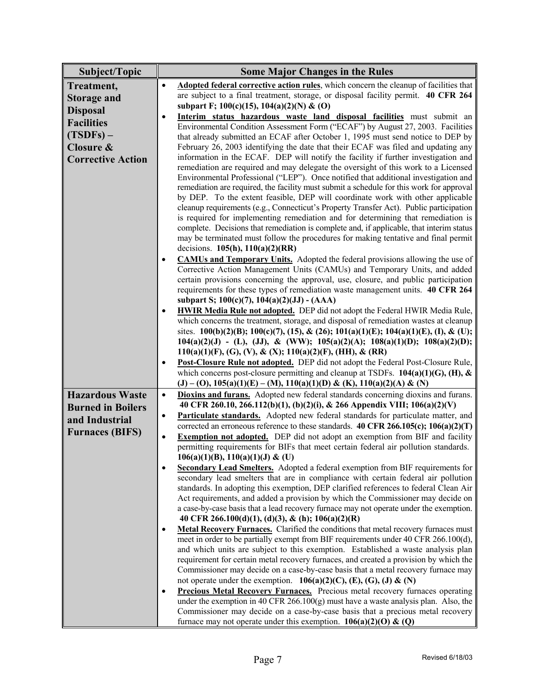| Subject/Topic            | <b>Some Major Changes in the Rules</b>                                                                                                                                       |
|--------------------------|------------------------------------------------------------------------------------------------------------------------------------------------------------------------------|
| Treatment,               | Adopted federal corrective action rules, which concern the cleanup of facilities that<br>$\bullet$                                                                           |
| <b>Storage and</b>       | are subject to a final treatment, storage, or disposal facility permit. 40 CFR 264                                                                                           |
|                          | subpart F; $100(c)(15)$ , $104(a)(2)(N)$ & (O)                                                                                                                               |
| <b>Disposal</b>          | Interim status hazardous waste land disposal facilities must submit an<br>$\bullet$                                                                                          |
| <b>Facilities</b>        | Environmental Condition Assessment Form ("ECAF") by August 27, 2003. Facilities                                                                                              |
| $(TSDFs) -$              | that already submitted an ECAF after October 1, 1995 must send notice to DEP by                                                                                              |
| Closure &                | February 26, 2003 identifying the date that their ECAF was filed and updating any                                                                                            |
| <b>Corrective Action</b> | information in the ECAF. DEP will notify the facility if further investigation and                                                                                           |
|                          | remediation are required and may delegate the oversight of this work to a Licensed                                                                                           |
|                          | Environmental Professional ("LEP"). Once notified that additional investigation and                                                                                          |
|                          | remediation are required, the facility must submit a schedule for this work for approval                                                                                     |
|                          | by DEP. To the extent feasible, DEP will coordinate work with other applicable                                                                                               |
|                          | cleanup requirements (e.g., Connecticut's Property Transfer Act). Public participation                                                                                       |
|                          | is required for implementing remediation and for determining that remediation is<br>complete. Decisions that remediation is complete and, if applicable, that interim status |
|                          | may be terminated must follow the procedures for making tentative and final permit                                                                                           |
|                          | decisions. $105(h)$ , $110(a)(2)(RR)$                                                                                                                                        |
|                          | <b>CAMUs and Temporary Units.</b> Adopted the federal provisions allowing the use of<br>٠                                                                                    |
|                          | Corrective Action Management Units (CAMUs) and Temporary Units, and added                                                                                                    |
|                          | certain provisions concerning the approval, use, closure, and public participation                                                                                           |
|                          | requirements for these types of remediation waste management units. 40 CFR 264                                                                                               |
|                          | subpart S; $100(c)(7)$ , $104(a)(2)(JJ) - (AAA)$                                                                                                                             |
|                          | <b>HWIR Media Rule not adopted.</b> DEP did not adopt the Federal HWIR Media Rule,<br>٠                                                                                      |
|                          | which concerns the treatment, storage, and disposal of remediation wastes at cleanup                                                                                         |
|                          | sites. 100(b)(2)(B); 100(c)(7), (15), & (26); 101(a)(1)(E); 104(a)(1)(E), (I), & (U);                                                                                        |
|                          | $104(a)(2)(J) - (L), (JJ), & (WW); 105(a)(2)(A); 108(a)(1)(D); 108(a)(2)(D);$                                                                                                |
|                          | 110(a)(1)(F), (G), (V), & (X); 110(a)(2)(F), (HH), & (RR)                                                                                                                    |
|                          | Post-Closure Rule not adopted. DEP did not adopt the Federal Post-Closure Rule,<br>$\bullet$                                                                                 |
|                          | which concerns post-closure permitting and cleanup at TSDFs. $104(a)(1)(G)$ , (H), &                                                                                         |
|                          | (J) – (O), $105(a)(1)(E)$ – (M), $110(a)(1)(D) & (K), 110(a)(2)(A) & (N)$                                                                                                    |
| <b>Hazardous Waste</b>   | <b>Dioxins and furans.</b> Adopted new federal standards concerning dioxins and furans.<br>$\bullet$                                                                         |
| <b>Burned in Boilers</b> | 40 CFR 260.10, 266.112(b)(1), (b)(2)(i), & 266 Appendix VIII; 106(a)(2)(V)                                                                                                   |
| and Industrial           | Particulate standards. Adopted new federal standards for particulate matter, and<br>$\bullet$                                                                                |
| <b>Furnaces (BIFS)</b>   | corrected an erroneous reference to these standards. 40 CFR 266.105(c); 106(a)(2)(T)                                                                                         |
|                          | <b>Exemption not adopted.</b> DEP did not adopt an exemption from BIF and facility<br>$\bullet$                                                                              |
|                          | permitting requirements for BIFs that meet certain federal air pollution standards.<br>$106(a)(1)(B)$ , $110(a)(1)(J)$ & (U)                                                 |
|                          | Secondary Lead Smelters. Adopted a federal exemption from BIF requirements for<br>$\bullet$                                                                                  |
|                          | secondary lead smelters that are in compliance with certain federal air pollution                                                                                            |
|                          | standards. In adopting this exemption, DEP clarified references to federal Clean Air                                                                                         |
|                          | Act requirements, and added a provision by which the Commissioner may decide on                                                                                              |
|                          | a case-by-case basis that a lead recovery furnace may not operate under the exemption.                                                                                       |
|                          | 40 CFR 266.100(d)(1), (d)(3), & (h); 106(a)(2)(R)                                                                                                                            |
|                          | Metal Recovery Furnaces. Clarified the conditions that metal recovery furnaces must<br>$\bullet$                                                                             |
|                          | meet in order to be partially exempt from BIF requirements under 40 CFR 266.100(d),                                                                                          |
|                          | and which units are subject to this exemption. Established a waste analysis plan                                                                                             |
|                          | requirement for certain metal recovery furnaces, and created a provision by which the                                                                                        |
|                          | Commissioner may decide on a case-by-case basis that a metal recovery furnace may                                                                                            |
|                          | not operate under the exemption. $106(a)(2)(C)$ , (E), (G), (J) & (N)                                                                                                        |
|                          | <b>Precious Metal Recovery Furnaces.</b> Precious metal recovery furnaces operating<br>$\bullet$                                                                             |
|                          | under the exemption in 40 CFR $266.100(g)$ must have a waste analysis plan. Also, the                                                                                        |
|                          | Commissioner may decide on a case-by-case basis that a precious metal recovery                                                                                               |
|                          | furnace may not operate under this exemption. $106(a)(2)(0) \& (Q)$                                                                                                          |